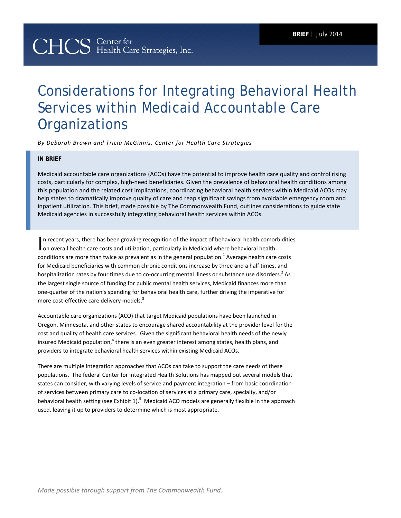# Considerations for Integrating Behavioral Health Services within Medicaid Accountable Care **Organizations**

*By Deborah Brown and Tricia McGinnis, Center for Health Care Strategies* 

## **IN BRIEF**

Medicaid accountable care organizations (ACOs) have the potential to improve health care quality and control rising costs, particularly for complex, high-need beneficiaries. Given the prevalence of behavioral health conditions among this population and the related cost implications, coordinating behavioral health services within Medicaid ACOs may help states to dramatically improve quality of care and reap significant savings from avoidable emergency room and inpatient utilization. This brief, made possible by The Commonwealth Fund, outlines considerations to guide state Medicaid agencies in successfully integrating behavioral health services within ACOs.

n recent years, there has been growing recognition of the impact of behavioral health comorbidities In recent years, there has been growing recognition of the impact of behavioral health comor<br>on overall health care costs and utilization, particularly in Medicaid where behavioral health conditions are more than twice as prevalent as in the general population.<sup>1</sup> Average health care costs for Medicaid beneficiaries with common chronic conditions increase by three and a half times, and hospitalization rates by four times due to co-occurring mental illness or substance use disorders.<sup>2</sup> As the largest single source of funding for public mental health services, Medicaid finances more than one-quarter of the nation's spending for behavioral health care, further driving the imperative for more cost-effective care delivery models.<sup>3</sup>

Accountable care organizations (ACO) that target Medicaid populations have been launched in Oregon, Minnesota, and other states to encourage shared accountability at the provider level for the cost and quality of health care services. Given the significant behavioral health needs of the newly insured Medicaid population,<sup>4</sup> there is an even greater interest among states, health plans, and providers to integrate behavioral health services within existing Medicaid ACOs.

There are multiple integration approaches that ACOs can take to support the care needs of these populations. The federal Center for Integrated Health Solutions has mapped out several models that states can consider, with varying levels of service and payment integration – from basic coordination of services between primary care to co-location of services at a primary care, specialty, and/or behavioral health setting (see Exhibit 1).<sup>5</sup> Medicaid ACO models are generally flexible in the approach used, leaving it up to providers to determine which is most appropriate.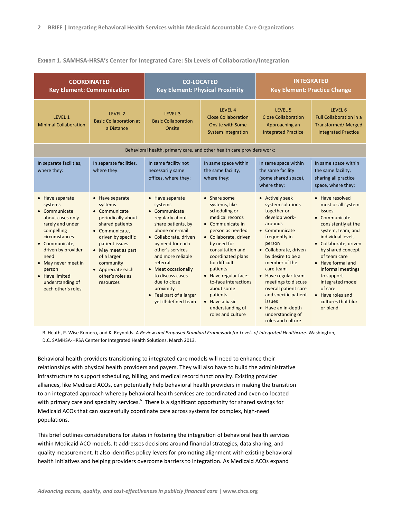#### **EXHIBIT 1. SAMHSA-HRSA's Center for Integrated Care: Six Levels of Collaboration/Integration**

| <b>COORDINATED</b><br><b>Key Element: Communication</b>                                                                                                                                                                                                       |                                                                                                                                                                                                                                                        | <b>CO-LOCATED</b><br><b>Key Element: Physical Proximity</b>                                                                                                                                                                                                                                                                          |                                                                                                                                                                                                                                                                                                                                                                      | <b>INTEGRATED</b><br><b>Key Element: Practice Change</b>                                                                                                                                                                                                                                                                                                                              |                                                                                                                                                                                                                                                                                                                                                   |  |
|---------------------------------------------------------------------------------------------------------------------------------------------------------------------------------------------------------------------------------------------------------------|--------------------------------------------------------------------------------------------------------------------------------------------------------------------------------------------------------------------------------------------------------|--------------------------------------------------------------------------------------------------------------------------------------------------------------------------------------------------------------------------------------------------------------------------------------------------------------------------------------|----------------------------------------------------------------------------------------------------------------------------------------------------------------------------------------------------------------------------------------------------------------------------------------------------------------------------------------------------------------------|---------------------------------------------------------------------------------------------------------------------------------------------------------------------------------------------------------------------------------------------------------------------------------------------------------------------------------------------------------------------------------------|---------------------------------------------------------------------------------------------------------------------------------------------------------------------------------------------------------------------------------------------------------------------------------------------------------------------------------------------------|--|
| LEVEL 1<br><b>Minimal Collaboration</b>                                                                                                                                                                                                                       | LEVEL 2<br><b>Basic Collaboration at</b><br>a Distance                                                                                                                                                                                                 | LEVEL <sub>3</sub><br><b>Basic Collaboration</b><br>Onsite                                                                                                                                                                                                                                                                           | LEVEL 4<br><b>Close Collaboration</b><br><b>Onsite with Some</b><br><b>System Integration</b>                                                                                                                                                                                                                                                                        | LEVEL 5<br><b>Close Collaboration</b><br>Approaching an<br><b>Integrated Practice</b>                                                                                                                                                                                                                                                                                                 | LEVEL 6<br><b>Full Collaboration in a</b><br><b>Transformed/ Merged</b><br><b>Integrated Practice</b>                                                                                                                                                                                                                                             |  |
| Behavioral health, primary care, and other health care providers work:                                                                                                                                                                                        |                                                                                                                                                                                                                                                        |                                                                                                                                                                                                                                                                                                                                      |                                                                                                                                                                                                                                                                                                                                                                      |                                                                                                                                                                                                                                                                                                                                                                                       |                                                                                                                                                                                                                                                                                                                                                   |  |
| In separate facilities,<br>where they:                                                                                                                                                                                                                        | In separate facilities,<br>where they:                                                                                                                                                                                                                 | In same facility not<br>necessarily same<br>offices, where they:                                                                                                                                                                                                                                                                     | In same space within<br>the same facility,<br>where they:                                                                                                                                                                                                                                                                                                            | In same space within<br>the same facility<br>(some shared space),<br>where they:                                                                                                                                                                                                                                                                                                      | In same space within<br>the same facility,<br>sharing all practice<br>space, where they:                                                                                                                                                                                                                                                          |  |
| • Have separate<br>systems<br>• Communicate<br>about cases only<br>rarely and under<br>compelling<br>circumstances<br>Communicate,<br>driven by provider<br>need<br>• May never meet in<br>person<br>• Have limited<br>understanding of<br>each other's roles | • Have separate<br>systems<br>• Communicate<br>periodically about<br>shared patients<br>• Communicate,<br>driven by specific<br>patient issues<br>• May meet as part<br>of a larger<br>community<br>• Appreciate each<br>other's roles as<br>resources | • Have separate<br>systems<br>• Communicate<br>regularly about<br>share patients, by<br>phone or e-mail<br>• Collaborate, driven<br>by need for each<br>other's services<br>and more reliable<br>referral<br>• Meet occasionally<br>to discuss cases<br>due to close<br>proximity<br>• Feel part of a larger<br>yet ill-defined team | • Share some<br>systems, like<br>scheduling or<br>medical records<br>• Communicate in<br>person as needed<br>• Collaborate, driven<br>by need for<br>consultation and<br>coordinated plans<br>for difficult<br>patients<br>• Have regular face-<br>to-face interactions<br>about some<br>patients<br>$\bullet$ Have a basic<br>understanding of<br>roles and culture | • Actively seek<br>system solutions<br>together or<br>develop work-<br>arounds<br>$\bullet$ Communicate<br>frequently in<br>person<br>• Collaborate, driven<br>by desire to be a<br>member of the<br>care team<br>• Have regular team<br>meetings to discuss<br>overall patient care<br>and specific patient<br>issues<br>• Have an in-depth<br>understanding of<br>roles and culture | • Have resolved<br>most or all system<br><b>issues</b><br>• Communicate<br>consistently at the<br>system, team, and<br>individual levels<br>Collaborate, driven<br>by shared concept<br>of team care<br>• Have formal and<br>informal meetings<br>to support<br>integrated model<br>of care<br>• Have roles and<br>cultures that blur<br>or blend |  |

B. Heath, P. Wise Romero, and K. Reynolds. *A Review and Proposed Standard Framework for Levels of Integrated Healthcare*. Washington, D.C. SAMHSA-HRSA Center for Integrated Health Solutions. March 2013.

Behavioral health providers transitioning to integrated care models will need to enhance their relationships with physical health providers and payers. They will also have to build the administrative infrastructure to support scheduling, billing, and medical record functionality. Existing provider alliances, like Medicaid ACOs, can potentially help behavioral health providers in making the transition to an integrated approach whereby behavioral health services are coordinated and even co-located with primary care and specialty services.<sup>6</sup> There is a significant opportunity for shared savings for Medicaid ACOs that can successfully coordinate care across systems for complex, high-need populations.

This brief outlines considerations for states in fostering the integration of behavioral health services within Medicaid ACO models. It addresses decisions around financial strategies, data sharing, and quality measurement. It also identifies policy levers for promoting alignment with existing behavioral health initiatives and helping providers overcome barriers to integration. As Medicaid ACOs expand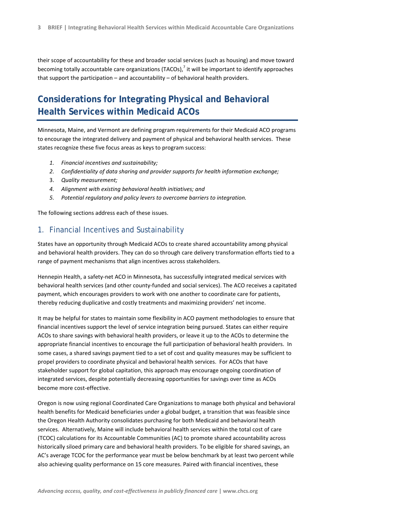their scope of accountability for these and broader social services (such as housing) and move toward becoming totally accountable care organizations (TACOs),<sup>7</sup> it will be important to identify approaches that support the participation – and accountability – of behavioral health providers.

# **Considerations for Integrating Physical and Behavioral Health Services within Medicaid ACOs**

Minnesota, Maine, and Vermont are defining program requirements for their Medicaid ACO programs to encourage the integrated delivery and payment of physical and behavioral health services. These states recognize these five focus areas as keys to program success:

- *1. Financial incentives and sustainability;*
- *2. Confidentiality of data sharing and provider supports for health information exchange;*
- 3. *Quality measurement;*
- *4. Alignment with existing behavioral health initiatives; and*
- *5. Potential regulatory and policy levers to overcome barriers to integration.*

The following sections address each of these issues.

#### 1. Financial Incentives and Sustainability

States have an opportunity through Medicaid ACOs to create shared accountability among physical and behavioral health providers. They can do so through care delivery transformation efforts tied to a range of payment mechanisms that align incentives across stakeholders.

Hennepin Health, a safety-net ACO in Minnesota, has successfully integrated medical services with behavioral health services (and other county-funded and social services). The ACO receives a capitated payment, which encourages providers to work with one another to coordinate care for patients, thereby reducing duplicative and costly treatments and maximizing providers' net income.

It may be helpful for states to maintain some flexibility in ACO payment methodologies to ensure that financial incentives support the level of service integration being pursued. States can either require ACOs to share savings with behavioral health providers, or leave it up to the ACOs to determine the appropriate financial incentives to encourage the full participation of behavioral health providers. In some cases, a shared savings payment tied to a set of cost and quality measures may be sufficient to propel providers to coordinate physical and behavioral health services. For ACOs that have stakeholder support for global capitation, this approach may encourage ongoing coordination of integrated services, despite potentially decreasing opportunities for savings over time as ACOs become more cost-effective.

Oregon is now using regional Coordinated Care Organizations to manage both physical and behavioral health benefits for Medicaid beneficiaries under a global budget, a transition that was feasible since the Oregon Health Authority consolidates purchasing for both Medicaid and behavioral health services. Alternatively, Maine will include behavioral health services within the total cost of care (TCOC) calculations for its Accountable Communities (AC) to promote shared accountability across historically siloed primary care and behavioral health providers. To be eligible for shared savings, an AC's average TCOC for the performance year must be below benchmark by at least two percent while also achieving quality performance on 15 core measures. Paired with financial incentives, these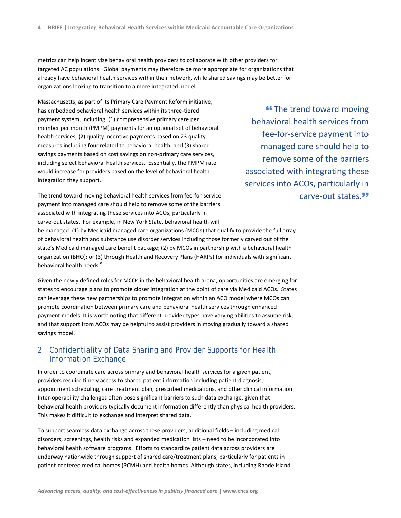metrics can help incentivize behavioral health providers to collaborate with other providers for targeted AC populations. Global payments may therefore be more appropriate for organizations that already have behavioral health services within their network, while shared savings may be better for organizations looking to transition to a more integrated model.

Massachusetts, as part of its Primary Care Payment Reform initiative, has embedded behavioral health services within its three-tiered payment system, including: (1) comprehensive primary care per member per month (PMPM) payments for an optional set of behavioral health services; (2) quality incentive payments based on 23 quality measures including four related to behavioral health; and (3) shared savings payments based on cost savings on non-primary care services, including select behavioral health services. Essentially, the PMPM rate would increase for providers based on the level of behavioral health integration they support.

**"The trend toward moving** behavioral health services from fee-for-service payment into managed care should help to remove some of the barriers associated with integrating these services into ACOs, particularly in carve-out states.

The trend toward moving behavioral health services from fee-for-service payment into managed care should help to remove some of the barriers associated with integrating these services into ACOs, particularly in carve-out states. For example, in New York State, behavioral health will

be managed: (1) by Medicaid managed care organizations (MCOs) that qualify to provide the full array of behavioral health and substance use disorder services including those formerly carved out of the state's Medicaid managed care benefit package; (2) by MCOs in partnership with a behavioral health organization (BHO); or (3) through Health and Recovery Plans (HARPs) for individuals with significant behavioral health needs.<sup>8</sup>

Given the newly defined roles for MCOs in the behavioral health arena, opportunities are emerging for states to encourage plans to promote closer integration at the point of care via Medicaid ACOs. States can leverage these new partnerships to promote integration within an ACO model where MCOs can promote coordination between primary care and behavioral health services through enhanced payment models. It is worth noting that different provider types have varying abilities to assume risk, and that support from ACOs may be helpful to assist providers in moving gradually toward a shared savings model.

# 2. Confidentiality of Data Sharing and Provider Supports for Health Information Exchange

In order to coordinate care across primary and behavioral health services for a given patient, providers require timely access to shared patient information including patient diagnosis, appointment scheduling, care treatment plan, prescribed medications, and other clinical information. Inter-operability challenges often pose significant barriers to such data exchange, given that behavioral health providers typically document information differently than physical health providers. This makes it difficult to exchange and interpret shared data.

To support seamless data exchange across these providers, additional fields – including medical disorders, screenings, health risks and expanded medication lists – need to be incorporated into behavioral health software programs. Efforts to standardize patient data across providers are underway nationwide through support of shared care/treatment plans, particularly for patients in patient-centered medical homes (PCMH) and health homes. Although states, including Rhode Island,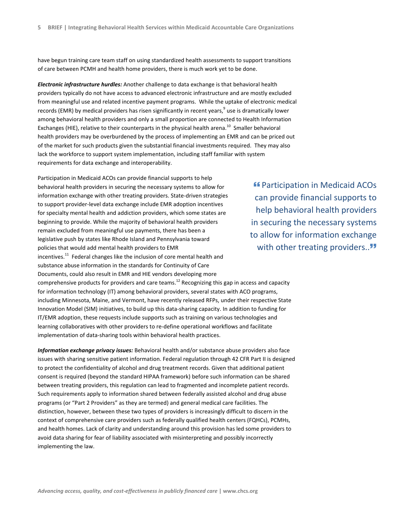have begun training care team staff on using standardized health assessments to support transitions of care between PCMH and health home providers, there is much work yet to be done.

*Electronic infrastructure hurdles:* Another challenge to data exchange is that behavioral health providers typically do not have access to advanced electronic infrastructure and are mostly excluded from meaningful use and related incentive payment programs. While the uptake of electronic medical records (EMR) by medical providers has risen significantly in recent years,<sup>9</sup> use is dramatically lower among behavioral health providers and only a small proportion are connected to Health Information Exchanges (HIE), relative to their counterparts in the physical health arena.<sup>10</sup> Smaller behavioral health providers may be overburdened by the process of implementing an EMR and can be priced out of the market for such products given the substantial financial investments required. They may also lack the workforce to support system implementation, including staff familiar with system requirements for data exchange and interoperability.

Participation in Medicaid ACOs can provide financial supports to help behavioral health providers in securing the necessary systems to allow for information exchange with other treating providers. State-driven strategies to support provider-level data exchange include EMR adoption incentives for specialty mental health and addiction providers, which some states are beginning to provide. While the majority of behavioral health providers remain excluded from meaningful use payments, there has been a legislative push by states like Rhode Island and Pennsylvania toward policies that would add mental health providers to EMR incentives. $11$  Federal changes like the inclusion of core mental health and substance abuse information in the standards for Continuity of Care Documents, could also result in EMR and HIE vendors developing more comprehensive products for providers and care teams.<sup>12</sup> Recognizing this gap in access and capacity for information technology (IT) among behavioral providers, several states with ACO programs, including Minnesota, Maine, and Vermont, have recently released RFPs, under their respective State Innovation Model (SIM) initiatives, to build up this data-sharing capacity. In addition to funding for IT/EMR adoption, these requests include supports such as training on various technologies and learning collaboratives with other providers to re-define operational workflows and facilitate implementation of data-sharing tools within behavioral health practices.

*Information exchange privacy issues:* Behavioral health and/or substance abuse providers also face issues with sharing sensitive patient information. Federal regulation through 42 CFR Part II is designed to protect the confidentiality of alcohol and drug treatment records. Given that additional patient consent is required (beyond the standard HIPAA framework) before such information can be shared between treating providers, this regulation can lead to fragmented and incomplete patient records. Such requirements apply to information shared between federally assisted alcohol and drug abuse programs (or "Part 2 Providers" as they are termed) and general medical care facilities. The distinction, however, between these two types of providers is increasingly difficult to discern in the context of comprehensive care providers such as federally qualified health centers (FQHCs), PCMHs, and health homes. Lack of clarity and understanding around this provision has led some providers to avoid data sharing for fear of liability associated with misinterpreting and possibly incorrectly implementing the law.

**"** Participation in Medicaid ACOs can provide financial supports to help behavioral health providers in securing the necessary systems to allow for information exchange with other treating providers.."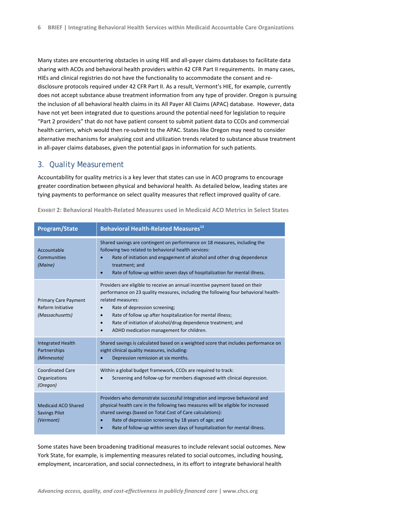Many states are encountering obstacles in using HIE and all-payer claims databases to facilitate data sharing with ACOs and behavioral health providers within 42 CFR Part II requirements. In many cases, HIEs and clinical registries do not have the functionality to accommodate the consent and redisclosure protocols required under 42 CFR Part II. As a result, Vermont's HIE, for example, currently does not accept substance abuse treatment information from any type of provider. Oregon is pursuing the inclusion of all behavioral health claims in its All Payer All Claims (APAC) database. However, data have not yet been integrated due to questions around the potential need for legislation to require "Part 2 providers" that do not have patient consent to submit patient data to CCOs and commercial health carriers, which would then re-submit to the APAC. States like Oregon may need to consider alternative mechanisms for analyzing cost and utilization trends related to substance abuse treatment in all-payer claims databases, given the potential gaps in information for such patients.

#### 3. Quality Measurement

Accountability for quality metrics is a key lever that states can use in ACO programs to encourage greater coordination between physical and behavioral health. As detailed below, leading states are tying payments to performance on select quality measures that reflect improved quality of care.

| <b>Program/State</b>                                                | <b>Behavioral Health-Related Measures13</b>                                                                                                                                                                                                                                                                                                                                                                                    |
|---------------------------------------------------------------------|--------------------------------------------------------------------------------------------------------------------------------------------------------------------------------------------------------------------------------------------------------------------------------------------------------------------------------------------------------------------------------------------------------------------------------|
| Accountable<br>Communities<br>(Maine)                               | Shared savings are contingent on performance on 18 measures, including the<br>following two related to behavioral health services:<br>Rate of initiation and engagement of alcohol and other drug dependence<br>treatment; and<br>Rate of follow-up within seven days of hospitalization for mental illness.<br>$\bullet$                                                                                                      |
| <b>Primary Care Payment</b><br>Reform Initiative<br>(Massachusetts) | Providers are eligible to receive an annual incentive payment based on their<br>performance on 23 quality measures, including the following four behavioral health-<br>related measures:<br>Rate of depression screening;<br>Rate of follow up after hospitalization for mental illness;<br>Rate of initiation of alcohol/drug dependence treatment; and<br>$\bullet$<br>ADHD medication management for children.<br>$\bullet$ |
| <b>Integrated Health</b><br>Partnerships<br>(Minnesota)             | Shared savings is calculated based on a weighted score that includes performance on<br>eight clinical quality measures, including:<br>Depression remission at six months.                                                                                                                                                                                                                                                      |
| <b>Coordinated Care</b><br>Organizations<br>(Oregon)                | Within a global budget framework, CCOs are required to track:<br>Screening and follow-up for members diagnosed with clinical depression.                                                                                                                                                                                                                                                                                       |
| Medicaid ACO Shared<br><b>Savings Pilot</b><br>(Vermont)            | Providers who demonstrate successful integration and improve behavioral and<br>physical health care in the following two measures will be eligible for increased<br>shared savings (based on Total Cost of Care calculations):<br>Rate of depression screening by 18 years of age; and<br>Rate of follow-up within seven days of hospitalization for mental illness.                                                           |

**EXHIBIT 2: Behavioral Health-Related Measures used in Medicaid ACO Metrics in Select States** 

Some states have been broadening traditional measures to include relevant social outcomes. New York State, for example, is implementing measures related to social outcomes, including housing, employment, incarceration, and social connectedness, in its effort to integrate behavioral health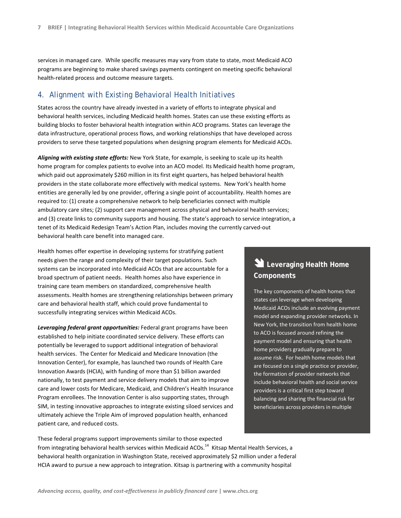services in managed care. While specific measures may vary from state to state, most Medicaid ACO programs are beginning to make shared savings payments contingent on meeting specific behavioral health-related process and outcome measure targets.

#### 4. Alignment with Existing Behavioral Health Initiatives

States across the country have already invested in a variety of efforts to integrate physical and behavioral health services, including Medicaid health homes. States can use these existing efforts as building blocks to foster behavioral health integration within ACO programs. States can leverage the data infrastructure, operational process flows, and working relationships that have developed across providers to serve these targeted populations when designing program elements for Medicaid ACOs.

*Aligning with existing state efforts:* New York State, for example, is seeking to scale up its health home program for complex patients to evolve into an ACO model. Its Medicaid health home program, which paid out approximately \$260 million in its first eight quarters, has helped behavioral health providers in the state collaborate more effectively with medical systems. New York's health home entities are generally led by one provider, offering a single point of accountability. Health homes are required to: (1) create a comprehensive network to help beneficiaries connect with multiple ambulatory care sites; (2) support care management across physical and behavioral health services; and (3) create links to community supports and housing. The state's approach to service integration, a tenet of its Medicaid Redesign Team's Action Plan, includes moving the currently carved-out behavioral health care benefit into managed care.

Health homes offer expertise in developing systems for stratifying patient needs given the range and complexity of their target populations. Such systems can be incorporated into Medicaid ACOs that are accountable for a broad spectrum of patient needs. Health homes also have experience in training care team members on standardized, comprehensive health assessments. Health homes are strengthening relationships between primary care and behavioral health staff, which could prove fundamental to successfully integrating services within Medicaid ACOs.

*Leveraging federal grant opportunities:* Federal grant programs have been established to help initiate coordinated service delivery. These efforts can potentially be leveraged to support additional integration of behavioral health services. The Center for Medicaid and Medicare Innovation (the Innovation Center), for example, has launched two rounds of Health Care Innovation Awards (HCIA), with funding of more than \$1 billion awarded nationally, to test payment and service delivery models that aim to improve care and lower costs for Medicare, Medicaid, and Children's Health Insurance Program enrollees. The Innovation Center is also supporting states, through SIM, in testing innovative approaches to integrate existing siloed services and ultimately achieve the Triple Aim of improved population health, enhanced patient care, and reduced costs.

# These federal programs support improvements similar to those expected

# **Leveraging Health Home Components**

The key components of health homes that states can leverage when developing Medicaid ACOs include an evolving payment model and expanding provider networks. In New York, the transition from health home to ACO is focused around refining the payment model and ensuring that health home providers gradually prepare to assume risk. For health home models that are focused on a single practice or provider, the formation of provider networks that include behavioral health and social service providers is a critical first step toward balancing and sharing the financial risk for beneficiaries across providers in multiple

from integrating behavioral health services within Medicaid ACOs.<sup>14</sup> Kitsap Mental Health Services, a behavioral health organization in Washington State, received approximately \$2 million under a federal HCIA award to pursue a new approach to integration. Kitsap is partnering with a community hospital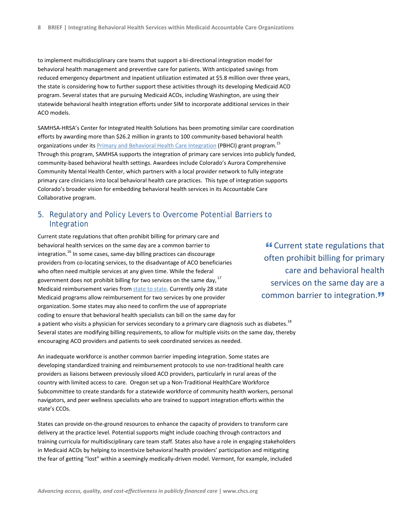to implement multidisciplinary care teams that support a bi-directional integration model for behavioral health management and preventive care for patients. With anticipated savings from reduced emergency department and inpatient utilization estimated at \$5.8 million over three years, the state is considering how to further support these activities through its developing Medicaid ACO program. Several states that are pursuing Medicaid ACOs, including Washington, are using their statewide behavioral health integration efforts under SIM to incorporate additional services in their ACO models.

SAMHSA-HRSA's Center for Integrated Health Solutions has been promoting similar care coordination efforts by awarding more than \$26.2 million in grants to 100 community-based behavioral health organizations under its Primary and Behavioral Health Care Integration (PBHCI) grant program.<sup>15</sup> Through this program, SAMHSA supports the integration of primary care services into publicly funded, community-based behavioral health settings. Awardees include Colorado's Aurora Comprehensive Community Mental Health Center, which partners with a local provider network to fully integrate primary care clinicians into local behavioral health care practices. This type of integration supports Colorado's broader vision for embedding behavioral health services in its Accountable Care Collaborative program.

### 5. Regulatory and Policy Levers to Overcome Potential Barriers to Integration

Current state regulations that often prohibit billing for primary care and behavioral health services on the same day are a common barrier to integration.<sup>16</sup> In some cases, same-day billing practices can discourage providers from co-locating services, to the disadvantage of ACO beneficiaries who often need multiple services at any given time. While the federal government does not prohibit billing for two services on the same day,  $17$ Medicaid reimbursement varies from state to state. Currently only 28 state Medicaid programs allow reimbursement for two services by one provider organization. Some states may also need to confirm the use of appropriate coding to ensure that behavioral health specialists can bill on the same day for a patient who visits a physician for services secondary to a primary care diagnosis such as diabetes.<sup>18</sup> Several states are modifying billing requirements, to allow for multiple visits on the same day, thereby encouraging ACO providers and patients to seek coordinated services as needed.

An inadequate workforce is another common barrier impeding integration. Some states are developing standardized training and reimbursement protocols to use non-traditional health care providers as liaisons between previously siloed ACO providers, particularly in rural areas of the country with limited access to care. Oregon set up a Non-Traditional HealthCare Workforce Subcommittee to create standards for a statewide workforce of community health workers, personal navigators, and peer wellness specialists who are trained to support integration efforts within the state's CCOs.

States can provide on-the-ground resources to enhance the capacity of providers to transform care delivery at the practice level. Potential supports might include coaching through contractors and training curricula for multidisciplinary care team staff. States also have a role in engaging stakeholders in Medicaid ACOs by helping to incentivize behavioral health providers' participation and mitigating the fear of getting "lost" within a seemingly medically-driven model. Vermont, for example, included

 Current state regulations that often prohibit billing for primary care and behavioral health services on the same day are a common barrier to integration.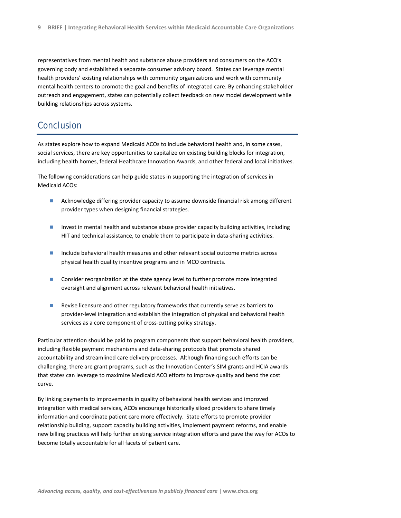representatives from mental health and substance abuse providers and consumers on the ACO's governing body and established a separate consumer advisory board. States can leverage mental health providers' existing relationships with community organizations and work with community mental health centers to promote the goal and benefits of integrated care. By enhancing stakeholder outreach and engagement, states can potentially collect feedback on new model development while building relationships across systems.

# **Conclusion**

As states explore how to expand Medicaid ACOs to include behavioral health and, in some cases, social services, there are key opportunities to capitalize on existing building blocks for integration, including health homes, federal Healthcare Innovation Awards, and other federal and local initiatives.

The following considerations can help guide states in supporting the integration of services in Medicaid ACOs:

- **Acknowledge differing provider capacity to assume downside financial risk among different** provider types when designing financial strategies.
- **Invest in mental health and substance abuse provider capacity building activities, including** HIT and technical assistance, to enable them to participate in data-sharing activities.
- $\blacksquare$  Include behavioral health measures and other relevant social outcome metrics across physical health quality incentive programs and in MCO contracts.
- **Consider reorganization at the state agency level to further promote more integrated** oversight and alignment across relevant behavioral health initiatives.
- Revise licensure and other regulatory frameworks that currently serve as barriers to provider-level integration and establish the integration of physical and behavioral health services as a core component of cross-cutting policy strategy.

Particular attention should be paid to program components that support behavioral health providers, including flexible payment mechanisms and data-sharing protocols that promote shared accountability and streamlined care delivery processes. Although financing such efforts can be challenging, there are grant programs, such as the Innovation Center's SIM grants and HCIA awards that states can leverage to maximize Medicaid ACO efforts to improve quality and bend the cost curve.

By linking payments to improvements in quality of behavioral health services and improved integration with medical services, ACOs encourage historically siloed providers to share timely information and coordinate patient care more effectively. State efforts to promote provider relationship building, support capacity building activities, implement payment reforms, and enable new billing practices will help further existing service integration efforts and pave the way for ACOs to become totally accountable for all facets of patient care.